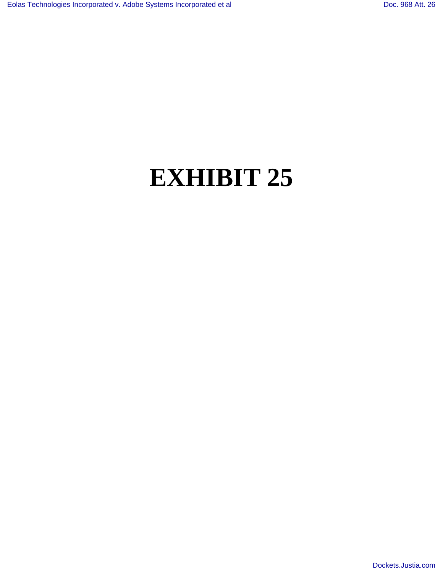## **EXHIBIT 25**

[Dockets.Justia.com](http://dockets.justia.com/)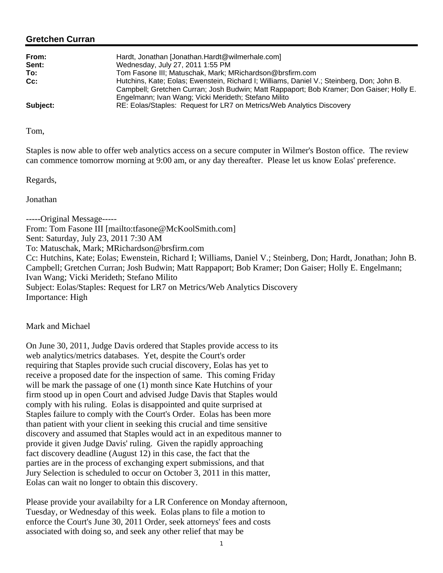## **Gretchen Curran**

| From:<br>Sent: | Hardt, Jonathan [Jonathan.Hardt@wilmerhale.com]<br>Wednesday, July 27, 2011 1:55 PM                                                                                                                                                           |
|----------------|-----------------------------------------------------------------------------------------------------------------------------------------------------------------------------------------------------------------------------------------------|
| To:            | Tom Fasone III; Matuschak, Mark; MRichardson@brsfirm.com                                                                                                                                                                                      |
| Cc:            | Hutchins, Kate; Eolas; Ewenstein, Richard I; Williams, Daniel V.; Steinberg, Don; John B.<br>Campbell; Gretchen Curran; Josh Budwin; Matt Rappaport; Bob Kramer; Don Gaiser; Holly E.<br>Engelmann; Ivan Wang; Vicki Merideth; Stefano Milito |
| Subject:       | RE: Eolas/Staples: Request for LR7 on Metrics/Web Analytics Discovery                                                                                                                                                                         |

Tom,

Staples is now able to offer web analytics access on a secure computer in Wilmer's Boston office. The review can commence tomorrow morning at 9:00 am, or any day thereafter. Please let us know Eolas' preference.

Regards,

Jonathan

-----Original Message----- From: Tom Fasone III [mailto:tfasone@McKoolSmith.com] Sent: Saturday, July 23, 2011 7:30 AM To: Matuschak, Mark; MRichardson@brsfirm.com Cc: Hutchins, Kate; Eolas; Ewenstein, Richard I; Williams, Daniel V.; Steinberg, Don; Hardt, Jonathan; John B. Campbell; Gretchen Curran; Josh Budwin; Matt Rappaport; Bob Kramer; Don Gaiser; Holly E. Engelmann; Ivan Wang; Vicki Merideth; Stefano Milito Subject: Eolas/Staples: Request for LR7 on Metrics/Web Analytics Discovery Importance: High

Mark and Michael

On June 30, 2011, Judge Davis ordered that Staples provide access to its web analytics/metrics databases. Yet, despite the Court's order requiring that Staples provide such crucial discovery, Eolas has yet to receive a proposed date for the inspection of same. This coming Friday will be mark the passage of one  $(1)$  month since Kate Hutchins of your firm stood up in open Court and advised Judge Davis that Staples would comply with his ruling. Eolas is disappointed and quite surprised at Staples failure to comply with the Court's Order. Eolas has been more than patient with your client in seeking this crucial and time sensitive discovery and assumed that Staples would act in an expeditous manner to provide it given Judge Davis' ruling. Given the rapidly approaching fact discovery deadline (August 12) in this case, the fact that the parties are in the process of exchanging expert submissions, and that Jury Selection is scheduled to occur on October 3, 2011 in this matter, Eolas can wait no longer to obtain this discovery.

Please provide your availabilty for a LR Conference on Monday afternoon, Tuesday, or Wednesday of this week. Eolas plans to file a motion to enforce the Court's June 30, 2011 Order, seek attorneys' fees and costs associated with doing so, and seek any other relief that may be